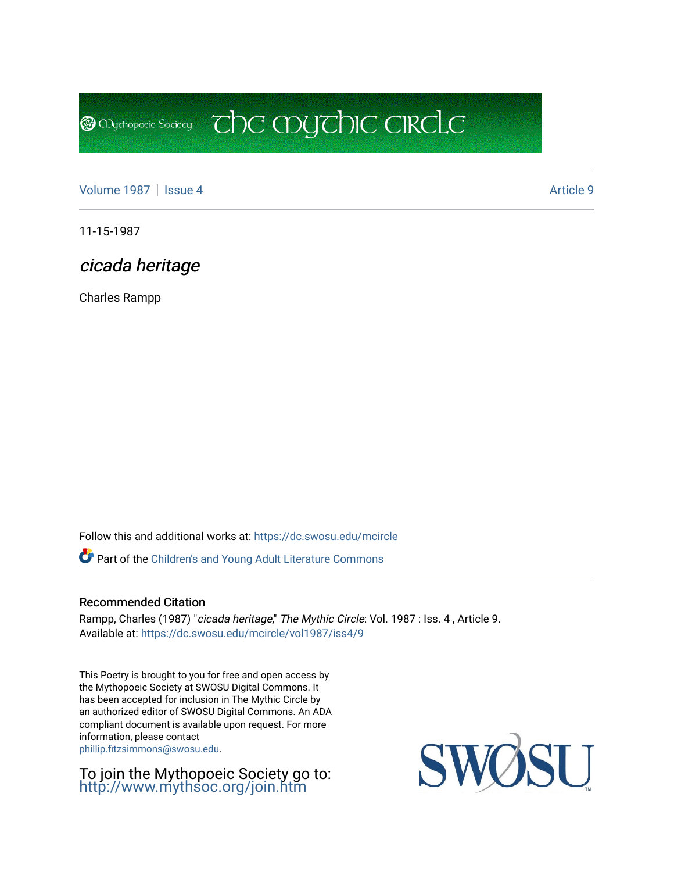[Volume 1987](https://dc.swosu.edu/mcircle/vol1987) | [Issue 4](https://dc.swosu.edu/mcircle/vol1987/iss4) Article 9

**@** Mychopoeic Sociecy

11-15-1987

## cicada heritage

Charles Rampp

Follow this and additional works at: [https://dc.swosu.edu/mcircle](https://dc.swosu.edu/mcircle?utm_source=dc.swosu.edu%2Fmcircle%2Fvol1987%2Fiss4%2F9&utm_medium=PDF&utm_campaign=PDFCoverPages) 

Part of the [Children's and Young Adult Literature Commons](http://network.bepress.com/hgg/discipline/1289?utm_source=dc.swosu.edu%2Fmcircle%2Fvol1987%2Fiss4%2F9&utm_medium=PDF&utm_campaign=PDFCoverPages) 

## Recommended Citation

Rampp, Charles (1987) "cicada heritage," The Mythic Circle: Vol. 1987 : Iss. 4, Article 9. Available at: [https://dc.swosu.edu/mcircle/vol1987/iss4/9](https://dc.swosu.edu/mcircle/vol1987/iss4/9?utm_source=dc.swosu.edu%2Fmcircle%2Fvol1987%2Fiss4%2F9&utm_medium=PDF&utm_campaign=PDFCoverPages) 

 $\mathbb{C}$  the mychic circle

This Poetry is brought to you for free and open access by the Mythopoeic Society at SWOSU Digital Commons. It has been accepted for inclusion in The Mythic Circle by an authorized editor of SWOSU Digital Commons. An ADA compliant document is available upon request. For more information, please contact [phillip.fitzsimmons@swosu.edu](mailto:phillip.fitzsimmons@swosu.edu).

To join the Mythopoeic Society go to: <http://www.mythsoc.org/join.htm>

SWOSU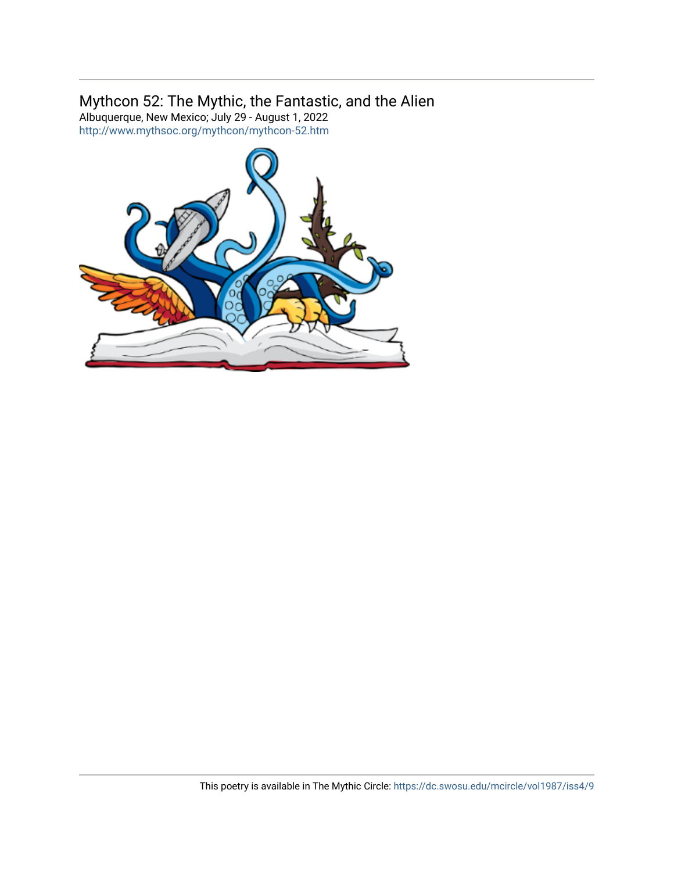## Mythcon 52: The Mythic, the Fantastic, and the Alien

Albuquerque, New Mexico; July 29 - August 1, 2022 <http://www.mythsoc.org/mythcon/mythcon-52.htm>